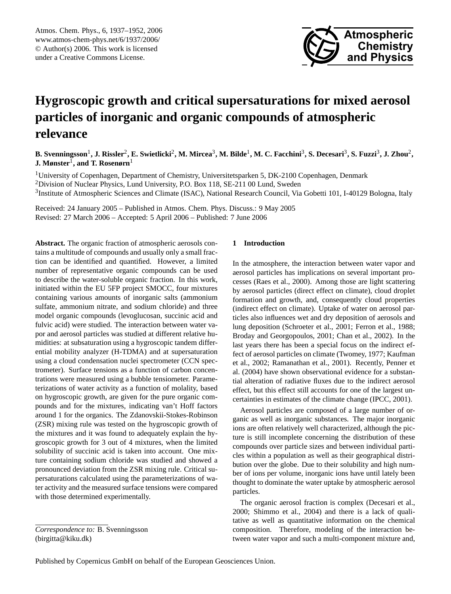

# **Hygroscopic growth and critical supersaturations for mixed aerosol particles of inorganic and organic compounds of atmospheric relevance**

B. Svenningsson<sup>1</sup>, J. Rissler<sup>2</sup>, E. Swietlicki<sup>2</sup>, M. Mircea<sup>3</sup>, M. Bilde<sup>1</sup>, M. C. Facchini<sup>3</sup>, S. Decesari<sup>3</sup>, S. Fuzzi<sup>3</sup>, J. Zhou<sup>2</sup>,  ${\bf J.}\ {\bf M}$ ønster $^1$ , and T. Rosenørn $^1$ 

<sup>1</sup>University of Copenhagen, Department of Chemistry, Universitetsparken 5, DK-2100 Copenhagen, Denmark <sup>2</sup>Division of Nuclear Physics, Lund University, P.O. Box 118, SE-211 00 Lund, Sweden <sup>3</sup>Institute of Atmospheric Sciences and Climate (ISAC), National Research Council, Via Gobetti 101, I-40129 Bologna, Italy

Received: 24 January 2005 – Published in Atmos. Chem. Phys. Discuss.: 9 May 2005 Revised: 27 March 2006 – Accepted: 5 April 2006 – Published: 7 June 2006

**Abstract.** The organic fraction of atmospheric aerosols contains a multitude of compounds and usually only a small fraction can be identified and quantified. However, a limited number of representative organic compounds can be used to describe the water-soluble organic fraction. In this work, initiated within the EU 5FP project SMOCC, four mixtures containing various amounts of inorganic salts (ammonium sulfate, ammonium nitrate, and sodium chloride) and three model organic compounds (levoglucosan, succinic acid and fulvic acid) were studied. The interaction between water vapor and aerosol particles was studied at different relative humidities: at subsaturation using a hygroscopic tandem differential mobility analyzer (H-TDMA) and at supersaturation using a cloud condensation nuclei spectrometer (CCN spectrometer). Surface tensions as a function of carbon concentrations were measured using a bubble tensiometer. Parameterizations of water activity as a function of molality, based on hygroscopic growth, are given for the pure organic compounds and for the mixtures, indicating van't Hoff factors around 1 for the organics. The Zdanovskii-Stokes-Robinson (ZSR) mixing rule was tested on the hygroscopic growth of the mixtures and it was found to adequately explain the hygroscopic growth for 3 out of 4 mixtures, when the limited solubility of succinic acid is taken into account. One mixture containing sodium chloride was studied and showed a pronounced deviation from the ZSR mixing rule. Critical supersaturations calculated using the parameterizations of water activity and the measured surface tensions were compared with those determined experimentally.

# <span id="page-0-0"></span>*Correspondence to:* B. Svenningsson (birgitta@kiku.dk)

# **1 Introduction**

In the atmosphere, the interaction between water vapor and aerosol particles has implications on several important processes (Raes et al., 2000). Among those are light scattering by aerosol particles (direct effect on climate), cloud droplet formation and growth, and, consequently cloud properties (indirect effect on climate). Uptake of water on aerosol particles also influences wet and dry deposition of aerosols and lung deposition (Schroeter et al., 2001; Ferron et al., 1988; Broday and Georgopoulos, 2001; Chan et al., 2002). In the last years there has been a special focus on the indirect effect of aerosol particles on climate (Twomey, 1977; Kaufman et al., 2002; Ramanathan et al., 2001). Recently, Penner et al. (2004) have shown observational evidence for a substantial alteration of radiative fluxes due to the indirect aerosol effect, but this effect still accounts for one of the largest uncertainties in estimates of the climate change (IPCC, 2001).

Aerosol particles are composed of a large number of organic as well as inorganic substances. The major inorganic ions are often relatively well characterized, although the picture is still incomplete concerning the distribution of these compounds over particle sizes and between individual particles within a population as well as their geographical distribution over the globe. Due to their solubility and high number of ions per volume, inorganic ions have until lately been thought to dominate the water uptake by atmospheric aerosol particles.

The organic aerosol fraction is complex (Decesari et al., 2000; Shimmo et al., 2004) and there is a lack of qualitative as well as quantitative information on the chemical composition. Therefore, modeling of the interaction between water vapor and such a multi-component mixture and,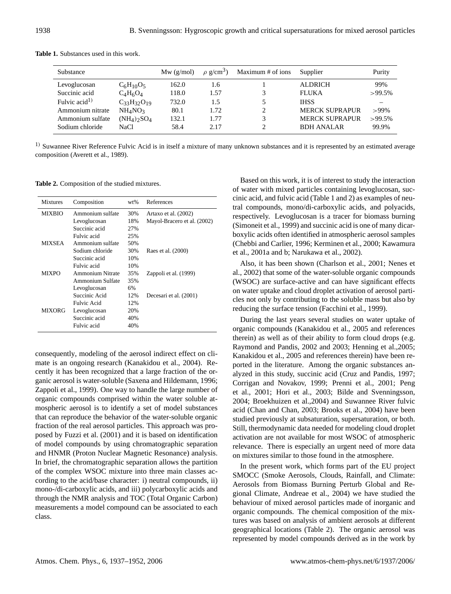| Substance        |                                       | $Mw$ (g/mol) | $\rho$ g/cm <sup>3</sup> ) | Maximum # of ions | Supplier              | Purity    |
|------------------|---------------------------------------|--------------|----------------------------|-------------------|-----------------------|-----------|
| Levoglucosan     | $C_6H_{10}O_5$                        | 162.0        | 1.6                        |                   | <b>ALDRICH</b>        | 99%       |
| Succinic acid    | $C_4H_6O_4$                           | 118.0        | 1.57                       | 3                 | <b>FLUKA</b>          | $>99.5\%$ |
| Fulvic $acid1$   | $C_{33}H_{32}O_{19}$                  | 732.0        | 1.5                        | 5                 | <b>IHSS</b>           |           |
| Ammonium nitrate | NH <sub>4</sub> NO <sub>3</sub>       | 80.1         | 1.72                       | 2                 | <b>MERCK SUPRAPUR</b> | $>99\%$   |
| Ammonium sulfate | $(NH_4)$ <sub>2</sub> SO <sub>4</sub> | 132.1        | 1.77                       | 3                 | <b>MERCK SUPRAPUR</b> | $>99.5\%$ |
| Sodium chloride  | NaCl                                  | 58.4         | 2.17                       | ↑                 | <b>BDH ANALAR</b>     | 99.9%     |

**Table 1.** Substances used in this work.

<sup>1)</sup> Suwannee River Reference Fulvic Acid is in itself a mixture of many unknown substances and it is represented by an estimated average composition (Averett et al., 1989).

**Table 2.** Composition of the studied mixtures.

| <b>Mixtures</b> | Composition             | wt% | References                  |
|-----------------|-------------------------|-----|-----------------------------|
| <b>MIXBIO</b>   | Ammonium sulfate        | 30% | Artaxo et al. (2002)        |
|                 | Levoglucosan            | 18% | Mayol-Bracero et al. (2002) |
|                 | Succinic acid           | 27% |                             |
|                 | Fulvic acid             | 25% |                             |
| <b>MIXSEA</b>   | Ammonium sulfate        | 50% |                             |
|                 | Sodium chloride         | 30% | Raes et al. (2000)          |
|                 | Succinic acid           | 10% |                             |
|                 | Fulvic acid             | 10% |                             |
| <b>MIXPO</b>    | <b>Ammonium Nitrate</b> | 35% | Zappoli et al. (1999)       |
|                 | Ammonium Sulfate        | 35% |                             |
|                 | Levoglucosan            | 6%  |                             |
|                 | Succinic Acid           | 12% | Decesari et al. (2001)      |
|                 | Fulvic Acid             | 12% |                             |
| <b>MIXORG</b>   | Levoglucosan            | 20% |                             |
|                 | Succinic acid           | 40% |                             |
|                 | Fulvic acid             | 40% |                             |

consequently, modeling of the aerosol indirect effect on climate is an ongoing research (Kanakidou et al., 2004). Recently it has been recognized that a large fraction of the organic aerosol is water-soluble (Saxena and Hildemann, 1996; Zappoli et al., 1999). One way to handle the large number of organic compounds comprised within the water soluble atmospheric aerosol is to identify a set of model substances that can reproduce the behavior of the water-soluble organic fraction of the real aerosol particles. This approach was proposed by Fuzzi et al. (2001) and it is based on identification of model compounds by using chromatographic separation and HNMR (Proton Nuclear Magnetic Resonance) analysis. In brief, the chromatographic separation allows the partition of the complex WSOC mixture into three main classes according to the acid/base character: i) neutral compounds, ii) mono-/di-carboxylic acids, and iii) polycarboxylic acids and through the NMR analysis and TOC (Total Organic Carbon) measurements a model compound can be associated to each class.

Based on this work, it is of interest to study the interaction of water with mixed particles containing levoglucosan, succinic acid, and fulvic acid (Table 1 and 2) as examples of neutral compounds, mono/di-carboxylic acids, and polyacids, respectively. Levoglucosan is a tracer for biomass burning (Simoneit et al., 1999) and succinic acid is one of many dicarboxylic acids often identified in atmospheric aerosol samples (Chebbi and Carlier, 1996; Kerminen et al., 2000; Kawamura et al., 2001a and b; Narukawa et al., 2002).

Also, it has been shown (Charlson et al., 2001; Nenes et al., 2002) that some of the water-soluble organic compounds (WSOC) are surface-active and can have significant effects on water uptake and cloud droplet activation of aerosol particles not only by contributing to the soluble mass but also by reducing the surface tension (Facchini et al., 1999).

During the last years several studies on water uptake of organic compounds (Kanakidou et al., 2005 and references therein) as well as of their ability to form cloud drops (e.g. Raymond and Pandis, 2002 and 2003; Henning et al.,2005; Kanakidou et al., 2005 and references therein) have been reported in the literature. Among the organic substances analyzed in this study, succinic acid (Cruz and Pandis, 1997; Corrigan and Novakov, 1999; Prenni et al., 2001; Peng et al., 2001; Hori et al., 2003; Bilde and Svenningsson, 2004; Broekhuizen et al.,2004) and Suwannee River fulvic acid (Chan and Chan, 2003; Brooks et al., 2004) have been studied previously at subsaturation, supersaturation, or both. Still, thermodynamic data needed for modeling cloud droplet activation are not available for most WSOC of atmospheric relevance. There is especially an urgent need of more data on mixtures similar to those found in the atmosphere.

In the present work, which forms part of the EU project SMOCC (Smoke Aerosols, Clouds, Rainfall, and Climate: Aerosols from Biomass Burning Perturb Global and Regional Climate, Andreae et al., 2004) we have studied the behaviour of mixed aerosol particles made of inorganic and organic compounds. The chemical composition of the mixtures was based on analysis of ambient aerosols at different geographical locations (Table 2). The organic aerosol was represented by model compounds derived as in the work by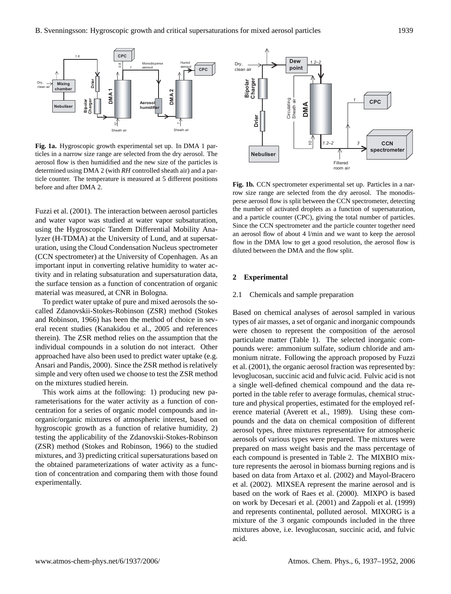

**Fig. 1a.** Hygroscopic growth experimental set up. In DMA 1 particles in a narrow size range are selected from the dry aerosol. The aerosol flow is then humidified and the new size of the particles is determined using DMA 2 (with *RH* controlled sheath air) and a particle counter. The temperature is measured at 5 different positions before and after DMA 2.

Fuzzi et al. (2001). The interaction between aerosol particles and water vapor was studied at water vapor subsaturation, using the Hygroscopic Tandem Differential Mobility Analyzer (H-TDMA) at the University of Lund, and at supersaturation, using the Cloud Condensation Nucleus spectrometer (CCN spectrometer) at the University of Copenhagen. As an important input in converting relative humidity to water activity and in relating subsaturation and supersaturation data, the surface tension as a function of concentration of organic material was measured, at CNR in Bologna.

To predict water uptake of pure and mixed aerosols the socalled Zdanovskii-Stokes-Robinson (ZSR) method (Stokes and Robinson, 1966) has been the method of choice in several recent studies (Kanakidou et al., 2005 and references therein). The ZSR method relies on the assumption that the individual compounds in a solution do not interact. Other approached have also been used to predict water uptake (e.g. Ansari and Pandis, 2000). Since the ZSR method is relatively simple and very often used we choose to test the ZSR method on the mixtures studied herein.

This work aims at the following: 1) producing new parameterisations for the water activity as a function of concentration for a series of organic model compounds and inorganic/organic mixtures of atmospheric interest, based on hygroscopic growth as a function of relative humidity, 2) testing the applicability of the Zdanovskii-Stokes-Robinson (ZSR) method (Stokes and Robinson, 1966) to the studied mixtures, and 3) predicting critical supersaturations based on the obtained parameterizations of water activity as a function of concentration and comparing them with those found experimentally.



**Fig. 1b.** CCN spectrometer experimental set up. Particles in a narrow size range are selected from the dry aerosol. The monodisperse aerosol flow is split between the CCN spectrometer, detecting the number of activated droplets as a function of supersaturation, and a particle counter (CPC), giving the total number of particles. Since the CCN spectrometer and the particle counter together need an aerosol flow of about 4 l/min and we want to keep the aerosol flow in the DMA low to get a good resolution, the aerosol flow is diluted between the DMA and the flow split.

#### **2 Experimental**

#### 2.1 Chemicals and sample preparation

Based on chemical analyses of aerosol sampled in various types of air masses, a set of organic and inorganic compounds were chosen to represent the composition of the aerosol particulate matter (Table 1). The selected inorganic compounds were: ammonium sulfate, sodium chloride and ammonium nitrate. Following the approach proposed by Fuzzi et al. (2001), the organic aerosol fraction was represented by: levoglucosan, succinic acid and fulvic acid. Fulvic acid is not a single well-defined chemical compound and the data reported in the table refer to average formulas, chemical structure and physical properties, estimated for the employed reference material (Averett et al., 1989). Using these compounds and the data on chemical composition of different aerosol types, three mixtures representative for atmospheric aerosols of various types were prepared. The mixtures were prepared on mass weight basis and the mass percentage of each compound is presented in Table 2. The MIXBIO mixture represents the aerosol in biomass burning regions and is based on data from Artaxo et al. (2002) and Mayol-Bracero et al. (2002). MIXSEA represent the marine aerosol and is based on the work of Raes et al. (2000). MIXPO is based on work by Decesari et al. (2001) and Zappoli et al. (1999) and represents continental, polluted aerosol. MIXORG is a mixture of the 3 organic compounds included in the three mixtures above, i.e. levoglucosan, succinic acid, and fulvic acid.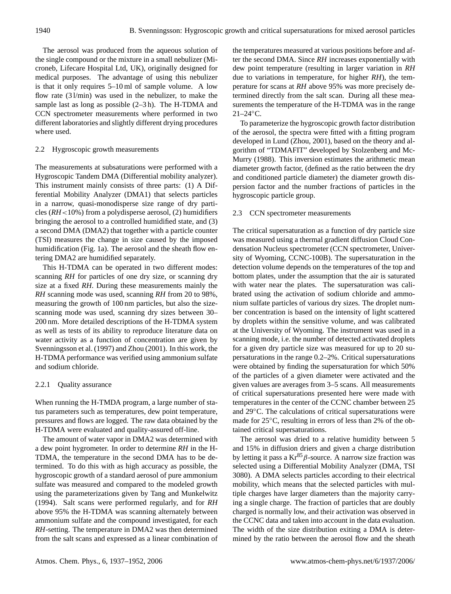The aerosol was produced from the aqueous solution of the single compound or the mixture in a small nebulizer (Microneb, Lifecare Hospital Ltd, UK), originally designed for medical purposes. The advantage of using this nebulizer is that it only requires 5–10 ml of sample volume. A low flow rate (3 l/min) was used in the nebulizer, to make the sample last as long as possible (2–3 h). The H-TDMA and CCN spectrometer measurements where performed in two different laboratories and slightly different drying procedures where used.

# 2.2 Hygroscopic growth measurements

The measurements at subsaturations were performed with a Hygroscopic Tandem DMA (Differential mobility analyzer). This instrument mainly consists of three parts: (1) A Differential Mobility Analyzer (DMA1) that selects particles in a narrow, quasi-monodisperse size range of dry particles (*RH*<10%) from a polydisperse aerosol, (2) humidifiers bringing the aerosol to a controlled humidified state, and (3) a second DMA (DMA2) that together with a particle counter (TSI) measures the change in size caused by the imposed humidification (Fig. 1a). The aerosol and the sheath flow entering DMA2 are humidified separately.

This H-TDMA can be operated in two different modes: scanning *RH* for particles of one dry size, or scanning dry size at a fixed *RH*. During these measurements mainly the *RH* scanning mode was used, scanning *RH* from 20 to 98%, measuring the growth of 100 nm particles, but also the sizescanning mode was used, scanning dry sizes between 30– 200 nm. More detailed descriptions of the H-TDMA system as well as tests of its ability to reproduce literature data on water activity as a function of concentration are given by Svenningsson et al. (1997) and Zhou (2001). In this work, the H-TDMA performance was verified using ammonium sulfate and sodium chloride.

# 2.2.1 Quality assurance

When running the H-TMDA program, a large number of status parameters such as temperatures, dew point temperature, pressures and flows are logged. The raw data obtained by the H-TDMA were evaluated and quality-assured off-line.

The amount of water vapor in DMA2 was determined with a dew point hygrometer. In order to determine *RH* in the H-TDMA, the temperature in the second DMA has to be determined. To do this with as high accuracy as possible, the hygroscopic growth of a standard aerosol of pure ammonium sulfate was measured and compared to the modeled growth using the parameterizations given by Tang and Munkelwitz (1994). Salt scans were performed regularly, and for *RH* above 95% the H-TDMA was scanning alternately between ammonium sulfate and the compound investigated, for each *RH*-setting. The temperature in DMA2 was then determined from the salt scans and expressed as a linear combination of the temperatures measured at various positions before and after the second DMA. Since *RH* increases exponentially with dew point temperature (resulting in larger variation in *RH* due to variations in temperature, for higher *RH*), the temperature for scans at *RH* above 95% was more precisely determined directly from the salt scan. During all these measurements the temperature of the H-TDMA was in the range 21–24◦C.

To parameterize the hygroscopic growth factor distribution of the aerosol, the spectra were fitted with a fitting program developed in Lund (Zhou, 2001), based on the theory and algorithm of "TDMAFIT" developed by Stolzenberg and Mc-Murry (1988). This inversion estimates the arithmetic mean diameter growth factor, (defined as the ratio between the dry and conditioned particle diameter) the diameter growth dispersion factor and the number fractions of particles in the hygroscopic particle group.

# 2.3 CCN spectrometer measurements

The critical supersaturation as a function of dry particle size was measured using a thermal gradient diffusion Cloud Condensation Nucleus spectrometer (CCN spectrometer, University of Wyoming, CCNC-100B). The supersaturation in the detection volume depends on the temperatures of the top and bottom plates, under the assumption that the air is saturated with water near the plates. The supersaturation was calibrated using the activation of sodium chloride and ammonium sulfate particles of various dry sizes. The droplet number concentration is based on the intensity of light scattered by droplets within the sensitive volume, and was calibrated at the University of Wyoming. The instrument was used in a scanning mode, i.e. the number of detected activated droplets for a given dry particle size was measured for up to 20 supersaturations in the range 0.2–2%. Critical supersaturations were obtained by finding the supersaturation for which 50% of the particles of a given diameter were activated and the given values are averages from 3–5 scans. All measurements of critical supersaturations presented here were made with temperatures in the center of the CCNC chamber between 25 and 29◦C. The calculations of critical supersaturations were made for 25◦C, resulting in errors of less than 2% of the obtained critical supersaturations.

The aerosol was dried to a relative humidity between 5 and 15% in diffusion driers and given a charge distribution by letting it pass a  $Kr^{85} \beta$ -source. A narrow size fraction was selected using a Differential Mobility Analyzer (DMA, TSI 3080). A DMA selects particles according to their electrical mobility, which means that the selected particles with multiple charges have larger diameters than the majority carrying a single charge. The fraction of particles that are doubly charged is normally low, and their activation was observed in the CCNC data and taken into account in the data evaluation. The width of the size distribution exiting a DMA is determined by the ratio between the aerosol flow and the sheath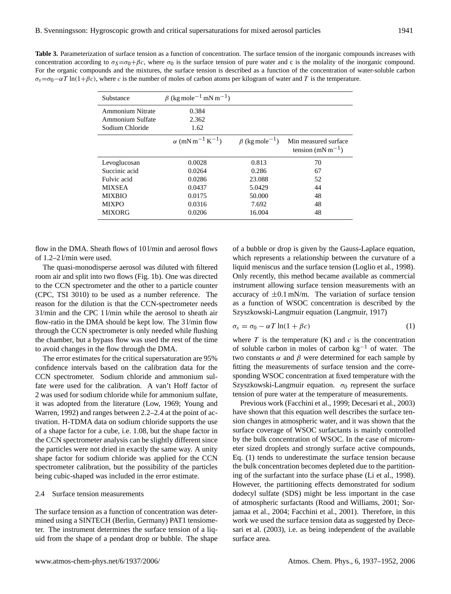Table 3. Parameterization of surface tension as a function of concentration. The surface tension of the inorganic compounds increases with concentration according to  $\sigma_s = \sigma_0 + \beta c$ , where  $\sigma_0$  is the surface tension of pure water and c is the molality of the inorganic compound. For the organic compounds and the mixtures, the surface tension is described as a function of the concentration of water-soluble carbon  $\sigma_s = \sigma_0 - \alpha T \ln(1+\beta c)$ , where c is the number of moles of carbon atoms per kilogram of water and T is the temperature.

| Substance        | $\beta$ (kg mole <sup>-1</sup> mN m <sup>-1</sup> ) |                                  |                                               |
|------------------|-----------------------------------------------------|----------------------------------|-----------------------------------------------|
| Ammonium Nitrate | 0.384                                               |                                  |                                               |
| Ammonium Sulfate | 2.362                                               |                                  |                                               |
| Sodium Chloride  | 1.62                                                |                                  |                                               |
|                  | $\alpha$ (mN m <sup>-1</sup> K <sup>-1</sup> )      | $\beta$ (kg mole <sup>-1</sup> ) | Min measured surface<br>tension $(mN m^{-1})$ |
| Levoglucosan     | 0.0028                                              | 0.813                            | 70                                            |
| Succinic acid    | 0.0264                                              | 0.286                            | 67                                            |
| Fulvic acid      | 0.0286                                              | 23.088                           | 52                                            |
| <b>MIXSEA</b>    | 0.0437                                              | 5.0429                           | 44                                            |
| <b>MIXBIO</b>    | 0.0175                                              | 50.000                           | 48                                            |
| <b>MIXPO</b>     | 0.0316                                              | 7.692                            | 48                                            |
| <b>MIXORG</b>    | 0.0206                                              | 16.004                           | 48                                            |

flow in the DMA. Sheath flows of 10 l/min and aerosol flows of 1.2–2 l/min were used.

The quasi-monodisperse aerosol was diluted with filtered room air and split into two flows (Fig. 1b). One was directed to the CCN spectrometer and the other to a particle counter (CPC, TSI 3010) to be used as a number reference. The reason for the dilution is that the CCN-spectrometer needs 3 l/min and the CPC 1 l/min while the aerosol to sheath air flow-ratio in the DMA should be kept low. The 3 l/min flow through the CCN spectrometer is only needed while flushing the chamber, but a bypass flow was used the rest of the time to avoid changes in the flow through the DMA.

The error estimates for the critical supersaturation are 95% confidence intervals based on the calibration data for the CCN spectrometer. Sodium chloride and ammonium sulfate were used for the calibration. A van't Hoff factor of 2 was used for sodium chloride while for ammonium sulfate, it was adopted from the literature (Low, 1969; Young and Warren, 1992) and ranges between 2.2–2.4 at the point of activation. H-TDMA data on sodium chloride supports the use of a shape factor for a cube, i.e. 1.08, but the shape factor in the CCN spectrometer analysis can be slightly different since the particles were not dried in exactly the same way. A unity shape factor for sodium chloride was applied for the CCN spectrometer calibration, but the possibility of the particles being cubic-shaped was included in the error estimate.

# 2.4 Surface tension measurements

The surface tension as a function of concentration was determined using a SINTECH (Berlin, Germany) PAT1 tensiometer. The instrument determines the surface tension of a liquid from the shape of a pendant drop or bubble. The shape of a bubble or drop is given by the Gauss-Laplace equation, which represents a relationship between the curvature of a liquid meniscus and the surface tension (Loglio et al., 1998). Only recently, this method became available as commercial instrument allowing surface tension measurements with an accuracy of  $\pm 0.1$  mN/m. The variation of surface tension as a function of WSOC concentration is described by the Szyszkowski-Langmuir equation (Langmuir, 1917)

$$
\sigma_s = \sigma_0 - \alpha T \ln(1 + \beta c) \tag{1}
$$

where  $T$  is the temperature  $(K)$  and  $c$  is the concentration of soluble carbon in moles of carbon kg<sup>-1</sup> of water. The two constants  $\alpha$  and  $\beta$  were determined for each sample by fitting the measurements of surface tension and the corresponding WSOC concentration at fixed temperature with the Szyszkowski-Langmuir equation.  $\sigma_0$  represent the surface tension of pure water at the temperature of measurements.

Previous work (Facchini et al., 1999; Decesari et al., 2003) have shown that this equation well describes the surface tension changes in atmospheric water, and it was shown that the surface coverage of WSOC surfactants is mainly controlled by the bulk concentration of WSOC. In the case of micrometer sized droplets and strongly surface active compounds, Eq. (1) tends to underestimate the surface tension because the bulk concentration becomes depleted due to the partitioning of the surfactant into the surface phase (Li et al., 1998). However, the partitioning effects demonstrated for sodium dodecyl sulfate (SDS) might be less important in the case of atmospheric surfactants (Rood and Williams, 2001; Sorjamaa et al., 2004; Facchini et al., 2001). Therefore, in this work we used the surface tension data as suggested by Decesari et al. (2003), i.e. as being independent of the available surface area.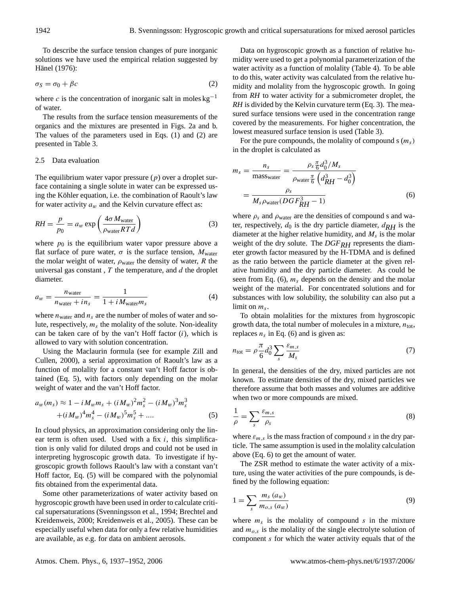To describe the surface tension changes of pure inorganic solutions we have used the empirical relation suggested by Hänel (1976):

$$
\sigma_S = \sigma_0 + \beta c \tag{2}
$$

where c is the concentration of inorganic salt in moles kg<sup> $-1$ </sup> of water.

The results from the surface tension measurements of the organics and the mixtures are presented in Figs. 2a and b. The values of the parameters used in Eqs. (1) and (2) are presented in Table 3.

#### 2.5 Data evaluation

The equilibrium water vapor pressure  $(p)$  over a droplet surface containing a single solute in water can be expressed using the Köhler equation, i.e. the combination of Raoult's law for water activity  $a_w$  and the Kelvin curvature effect as:

$$
RH = \frac{p}{p_0} = a_w \exp\left(\frac{4\sigma M_{\text{water}}}{\rho_{\text{water}} RT d}\right)
$$
 (3)

where  $p_0$  is the equilibrium water vapor pressure above a flat surface of pure water,  $\sigma$  is the surface tension,  $M_{\text{water}}$ the molar weight of water,  $\rho_{\text{water}}$  the density of water, R the universal gas constant,  $T$  the temperature, and  $d$  the droplet diameter.

$$
a_w = \frac{n_{\text{water}}}{n_{\text{water}} + in_s} = \frac{1}{1 + i M_{\text{water}} m_s} \tag{4}
$$

where  $n_{\text{water}}$  and  $n_s$  are the number of moles of water and solute, respectively,  $m_s$  the molality of the solute. Non-ideality can be taken care of by the van't Hoff factor  $(i)$ , which is allowed to vary with solution concentration.

Using the Maclaurin formula (see for example Zill and Cullen, 2000), a serial approximation of Raoult's law as a function of molality for a constant van't Hoff factor is obtained (Eq. 5), with factors only depending on the molar weight of water and the van't Hoff factor.

$$
a_w(m_s) \approx 1 - iM_w m_s + (iM_w)^2 m_s^2 - (iM_w)^3 m_s^3
$$
  
 
$$
+ (iM_w)^4 m_s^4 - (iM_w)^5 m_s^5 + \dots
$$
 (5)

In cloud physics, an approximation considering only the linear term is often used. Used with a fix  $i$ , this simplification is only valid for diluted drops and could not be used in interpreting hygroscopic growth data. To investigate if hygroscopic growth follows Raoult's law with a constant van't Hoff factor, Eq. (5) will be compared with the polynomial fits obtained from the experimental data.

Some other parameterizations of water activity based on hygroscopic growth have been used in order to calculate critical supersaturations (Svenningsson et al., 1994; Brechtel and Kreidenweis, 2000; Kreidenweis et al., 2005). These can be especially useful when data for only a few relative humidities are available, as e.g. for data on ambient aerosols.

Data on hygroscopic growth as a function of relative humidity were used to get a polynomial parameterization of the water activity as a function of molality (Table 4). To be able to do this, water activity was calculated from the relative humidity and molality from the hygroscopic growth. In going from *RH* to water activity for a submicrometer droplet, the *RH* is divided by the Kelvin curvature term (Eq. 3). The measured surface tensions were used in the concentration range covered by the measurements. For higher concentration, the lowest measured surface tension is used (Table 3).

For the pure compounds, the molality of compound s  $(m<sub>s</sub>)$ in the droplet is calculated as

$$
m_s = \frac{n_s}{\text{mass}_{\text{water}}} = \frac{\rho_s \frac{\pi}{6} d_0^3 / M_s}{\rho_{\text{water}} \frac{\pi}{6} \left( d_{RH}^3 - d_0^3 \right)}
$$

$$
= \frac{\rho_s}{M_s \rho_{\text{water}} (DGF_{RH}^3 - 1)}
$$
(6)

where  $\rho_s$  and  $\rho_{\text{water}}$  are the densities of compound s and water, respectively,  $d_0$  is the dry particle diameter,  $d_{RH}$  is the diameter at the higher relative humidity, and  $M_s$  is the molar weight of the dry solute. The *DGF<sub>RH</sub>* represents the diameter growth factor measured by the H-TDMA and is defined as the ratio between the particle diameter at the given relative humidity and the dry particle diameter. As could be seen from Eq. (6),  $m<sub>s</sub>$  depends on the density and the molar weight of the material. For concentrated solutions and for substances with low solubility, the solubility can also put a limit on  $m<sub>s</sub>$ .

To obtain molalities for the mixtures from hygroscopic growth data, the total number of molecules in a mixture,  $n_{\text{tot}}$ , replaces  $n<sub>s</sub>$  in Eq. (6) and is given as:

$$
n_{\text{tot}} = \rho \frac{\pi}{6} d_0^3 \sum_s \frac{\varepsilon_{m,s}}{M_s} \tag{7}
$$

In general, the densities of the dry, mixed particles are not known. To estimate densities of the dry, mixed particles we therefore assume that both masses and volumes are additive when two or more compounds are mixed.

$$
\frac{1}{\rho} = \sum_{s} \frac{\varepsilon_{m,s}}{\rho_s} \tag{8}
$$

where  $\varepsilon_{m,s}$  is the mass fraction of compound s in the dry particle. The same assumption is used in the molality calculation above (Eq. 6) to get the amount of water.

The ZSR method to estimate the water activity of a mixture, using the water activities of the pure compounds, is defined by the following equation:

$$
1 = \sum_{s} \frac{m_s (a_w)}{m_{o,s} (a_w)}
$$
(9)

where  $m<sub>s</sub>$  is the molality of compound s in the mixture and  $m_{o,s}$  is the molality of the single electrolyte solution of component s for which the water activity equals that of the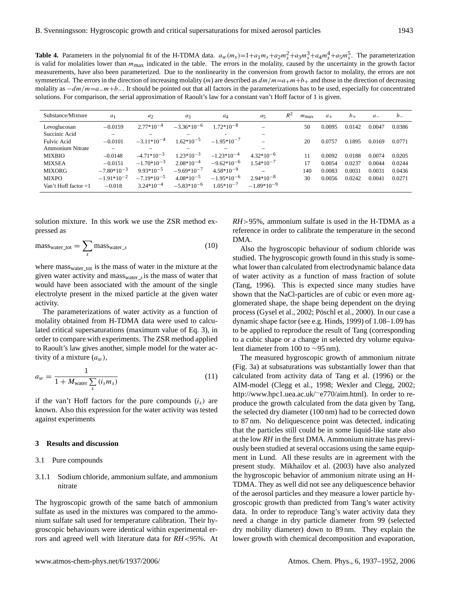**Table 4.** Parameters in the polynomial fit of the H-TDMA data.  $a_w(m_s)=1+a_1m_s+a_2m_s^2+a_3m_s^3+a_4m_s^4+a_5m_s^5$ . The parameterization is valid for molalities lower than  $m_{\text{max}}$  indicated in the table. The errors in the molality, caused by the uncertainty in the growth factor measurements, have also been parameterized. Due to the nonlinearity in the conversion from growth factor to molality, the errors are not symmetrical. The errors in the direction of increasing molality (*m*) are described as  $dm/m=a+m+b+$  and those in the direction of decreasing molality as  $-dm/m=a_{m}+b_{n}$ . It should be pointed out that all factors in the parameterizations has to be used, especially for concentrated solutions. For comparison, the serial approximation of Raoult's law for a constant van't Hoff factor of 1 is given.

| Substance/Mixture      | $a_1$                    | $a_2$                    | $a_3$                    | $a_4$                    | $a_5$                    | $R^2$ | $m_{\text{max}}$ | $a_{+}$ | $b_{+}$ | $a_{-}$ | $b-$   |
|------------------------|--------------------------|--------------------------|--------------------------|--------------------------|--------------------------|-------|------------------|---------|---------|---------|--------|
| Levoglucosan           | $-0.0159$                | $2.77*10^{-4}$           | $-3.36*10^{-6}$          | $1.72*10^{-8}$           | $\overline{\phantom{m}}$ |       | 50               | 0.0095  | 0.0142  | 0.0047  | 0.0386 |
| Succinic Acid          | $\overline{\phantom{0}}$ | $\overline{\phantom{0}}$ | $\overline{\phantom{0}}$ | $\overline{\phantom{0}}$ | $\overline{\phantom{0}}$ |       |                  |         |         |         |        |
| <b>Fulvic Acid</b>     | $-0.0101$                | $-3.11*10^{-4}$          | $1.62*10^{-5}$           | $-1.95*10^{-7}$          |                          |       | 20               | 0.0757  | 0.1895  | 0.0169  | 0.0771 |
| Ammonium Nitrate       | $\overline{\phantom{0}}$ |                          |                          |                          |                          |       |                  |         |         |         |        |
| <b>MIXBIO</b>          | $-0.0148$                | $-4.71*10^{-3}$          | $1.23*10^{-3}$           | $-1.23*10^{-4}$          | $4.32*10^{-6}$           |       | 11               | 0.0092  | 0.0188  | 0.0074  | 0.0205 |
| <b>MIXSEA</b>          | $-0.0151$                | $-1.70*10^{-3}$          | $2.08*10^{-4}$           | $-9.62*10^{-6}$          | $1.54*10^{-7}$           |       | 17               | 0.0054  | 0.0237  | 0.0044  | 0.0244 |
| <b>MIXORG</b>          | $-7.80*10^{-3}$          | $9.93*10^{-5}$           | $-9.69*10^{-7}$          | $4.58*10^{-9}$           |                          |       | 140              | 0.0083  | 0.0031  | 0.0031  | 0.0436 |
| <b>MIXPO</b>           | $-1.91*10^{-2}$          | $-7.19*10^{-5}$          | $4.08*10^{-5}$           | $-1.95*10^{-6}$          | $2.94*10^{-8}$           |       | 30               | 0.0056  | 0.0242  | 0.0041  | 0.0271 |
| Van't Hoff factor $=1$ | $-0.018$                 | $3.24*10^{-4}$           | $-5.83*10^{-6}$          | $1.05*10^{-7}$           | $-1.89*10^{-9}$          |       |                  |         |         |         |        |

solution mixture. In this work we use the ZSR method expressed as

$$
mass_{\text{water}\_\text{tot}} = \sum_{s} mass_{\text{water}\_\text{s}} \tag{10}
$$

where  $mass_{water\_tot}$  is the mass of water in the mixture at the given water activity and mass<sub>water s</sub> is the mass of water that would have been associated with the amount of the single electrolyte present in the mixed particle at the given water activity.

The parameterizations of water activity as a function of molality obtained from H-TDMA data were used to calculated critical supersaturations (maximum value of Eq. 3), in order to compare with experiments. The ZSR method applied to Raoult's law gives another, simple model for the water activity of a mixture  $(a_w)$ ,

$$
a_w = \frac{1}{1 + M_{\text{water}} \sum_{s} (i_s m_s)} \tag{11}
$$

if the van't Hoff factors for the pure compounds  $(i<sub>s</sub>)$  are known. Also this expression for the water activity was tested against experiments

#### **3 Results and discussion**

#### 3.1 Pure compounds

## 3.1.1 Sodium chloride, ammonium sulfate, and ammonium nitrate

The hygroscopic growth of the same batch of ammonium sulfate as used in the mixtures was compared to the ammonium sulfate salt used for temperature calibration. Their hygroscopic behaviours were identical within experimental errors and agreed well with literature data for *RH*<95%. At *RH*>95%, ammonium sulfate is used in the H-TDMA as a reference in order to calibrate the temperature in the second DMA.

Also the hygroscopic behaviour of sodium chloride was studied. The hygroscopic growth found in this study is somewhat lower than calculated from electrodynamic balance data of water activity as a function of mass fraction of solute (Tang, 1996). This is expected since many studies have shown that the NaCl-particles are of cubic or even more agglomerated shape, the shape being dependent on the drying process (Gysel et al., 2002; Pöschl et al., 2000). In our case a dynamic shape factor (see e.g. Hinds, 1999) of 1.08–1.09 has to be applied to reproduce the result of Tang (corresponding to a cubic shape or a change in selected dry volume equivalent diameter from 100 to ∼95 nm).

The measured hygroscopic growth of ammonium nitrate (Fig. 3a) at subsaturations was substantially lower than that calculated from activity data of Tang et al. (1996) or the AIM-model (Clegg et al., 1998; Wexler and Clegg, 2002; [http://www.hpc1.uea.ac.uk/](http://www.hpc1.uea.ac.uk/~e770/aim.html)∼e770/aim.html). In order to reproduce the growth calculated from the data given by Tang, the selected dry diameter (100 nm) had to be corrected down to 87 nm. No deliquescence point was detected, indicating that the particles still could be in some liquid-like state also at the low *RH* in the first DMA. Ammonium nitrate has previously been studied at several occasions using the same equipment in Lund. All these results are in agreement with the present study. Mikhailov et al. (2003) have also analyzed the hygroscopic behavior of ammonium nitrate using an H-TDMA. They as well did not see any deliquescence behavior of the aerosol particles and they measure a lower particle hygroscopic growth than predicted from Tang's water activity data. In order to reproduce Tang's water activity data they need a change in dry particle diameter from 99 (selected dry mobility diameter) down to 89 nm. They explain the lower growth with chemical decomposition and evaporation,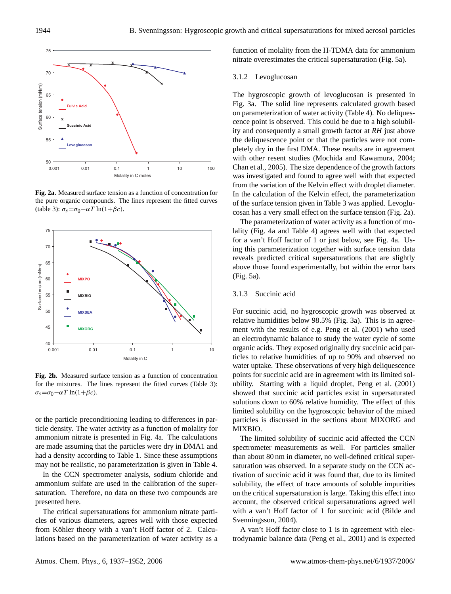

**Fig. 2a.** Measured surface tension as a function of concentration for the pure organic compounds. The lines represent the fitted curves (table 3):  $\sigma_s = \sigma_0 - \alpha T \ln(1 + \beta c)$ .



**Fig. 2b.** Measured surface tension as a function of concentration for the mixtures. The lines represent the fitted curves (Table 3):  $\sigma_s = \sigma_0 - \alpha T \ln(1 + \beta c)$ .

or the particle preconditioning leading to differences in particle density. The water activity as a function of molality for ammonium nitrate is presented in Fig. 4a. The calculations are made assuming that the particles were dry in DMA1 and had a density according to Table 1. Since these assumptions may not be realistic, no parameterization is given in Table 4.

In the CCN spectrometer analysis, sodium chloride and ammonium sulfate are used in the calibration of the supersaturation. Therefore, no data on these two compounds are presented here.

The critical supersaturations for ammonium nitrate particles of various diameters, agrees well with those expected from Köhler theory with a van't Hoff factor of 2. Calculations based on the parameterization of water activity as a function of molality from the H-TDMA data for ammonium nitrate overestimates the critical supersaturation (Fig. 5a).

#### 3.1.2 Levoglucosan

The hygroscopic growth of levoglucosan is presented in Fig. 3a. The solid line represents calculated growth based on parameterization of water activity (Table 4). No deliquescence point is observed. This could be due to a high solubility and consequently a small growth factor at *RH* just above the deliquescence point or that the particles were not completely dry in the first DMA. These results are in agreement with other resent studies (Mochida and Kawamura, 2004; Chan et al., 2005). The size dependence of the growth factors was investigated and found to agree well with that expected from the variation of the Kelvin effect with droplet diameter. In the calculation of the Kelvin effect, the parameterization of the surface tension given in Table 3 was applied. Levoglucosan has a very small effect on the surface tension (Fig. 2a).

The parameterization of water activity as a function of molality (Fig. 4a and Table 4) agrees well with that expected for a van't Hoff factor of 1 or just below, see Fig. 4a. Using this parameterization together with surface tension data reveals predicted critical supersaturations that are slightly above those found experimentally, but within the error bars (Fig. 5a).

#### 3.1.3 Succinic acid

For succinic acid, no hygroscopic growth was observed at relative humidities below 98.5% (Fig. 3a). This is in agreement with the results of e.g. Peng et al. (2001) who used an electrodynamic balance to study the water cycle of some organic acids. They exposed originally dry succinic acid particles to relative humidities of up to 90% and observed no water uptake. These observations of very high deliquescence points for succinic acid are in agreement with its limited solubility. Starting with a liquid droplet, Peng et al. (2001) showed that succinic acid particles exist in supersaturated solutions down to 60% relative humidity. The effect of this limited solubility on the hygroscopic behavior of the mixed particles is discussed in the sections about MIXORG and MIXBIO.

The limited solubility of succinic acid affected the CCN spectrometer measurements as well. For particles smaller than about 80 nm in diameter, no well-defined critical supersaturation was observed. In a separate study on the CCN activation of succinic acid it was found that, due to its limited solubility, the effect of trace amounts of soluble impurities on the critical supersaturation is large. Taking this effect into account, the observed critical supersaturations agreed well with a van't Hoff factor of 1 for succinic acid (Bilde and Svenningsson, 2004).

A van't Hoff factor close to 1 is in agreement with electrodynamic balance data (Peng et al., 2001) and is expected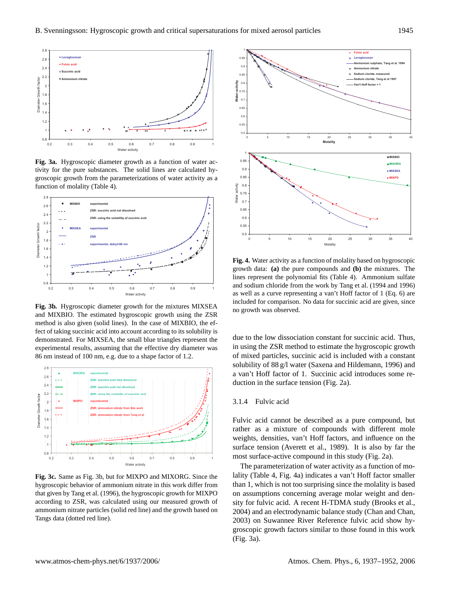

**Fig. 3a.** Hygroscopic diameter growth as a function of water activity for the pure substances. The solid lines are calculated hygroscopic growth from the parameterizations of water activity as a function of molality (Table 4).



**Fig. 3b.** Hygroscopic diameter growth for the mixtures MIXSEA and MIXBIO. The estimated hygroscopic growth using the ZSR method is also given (solid lines). In the case of MIXBIO, the effect of taking succinic acid into account according to its solubility is demonstrated. For MIXSEA, the small blue triangles represent the experimental results, assuming that the effective dry diameter was 86 nm instead of 100 nm, e.g. due to a shape factor of 1.2.



Fig. 3c. Same as Fig. 3b, but for MIXPO and MIXORG. Since the hygroscopic behavior of ammonium nitrate in this work differ from that given by Tang et al. (1996), the hygroscopic growth for MIXPO according to ZSR, was calculated using our measured growth of ammonium nitrate particles (solid red line) and the growth based on Tangs data (dotted red line).



**Fig. 4.** Water activity as a function of molality based on hygroscopic growth data: **(a)** the pure compounds and **(b)** the mixtures. The lines represent the polynomial fits (Table 4). Ammonium sulfate and sodium chloride from the work by Tang et al. (1994 and 1996) as well as a curve representing a van't Hoff factor of 1 (Eq. 6) are included for comparison. No data for succinic acid are given, since no growth was observed.

due to the low dissociation constant for succinic acid. Thus, in using the ZSR method to estimate the hygroscopic growth of mixed particles, succinic acid is included with a constant solubility of 88 g/l water (Saxena and Hildemann, 1996) and a van't Hoff factor of 1. Succinic acid introduces some reduction in the surface tension (Fig. 2a).

#### 3.1.4 Fulvic acid

Fulvic acid cannot be described as a pure compound, but rather as a mixture of compounds with different mole weights, densities, van't Hoff factors, and influence on the surface tension (Averett et al., 1989). It is also by far the most surface-active compound in this study (Fig. 2a).

The parameterization of water activity as a function of molality (Table 4, Fig. 4a) indicates a van't Hoff factor smaller than 1, which is not too surprising since the molality is based on assumptions concerning average molar weight and density for fulvic acid. A recent H-TDMA study (Brooks et al., 2004) and an electrodynamic balance study (Chan and Chan, 2003) on Suwannee River Reference fulvic acid show hygroscopic growth factors similar to those found in this work (Fig. 3a).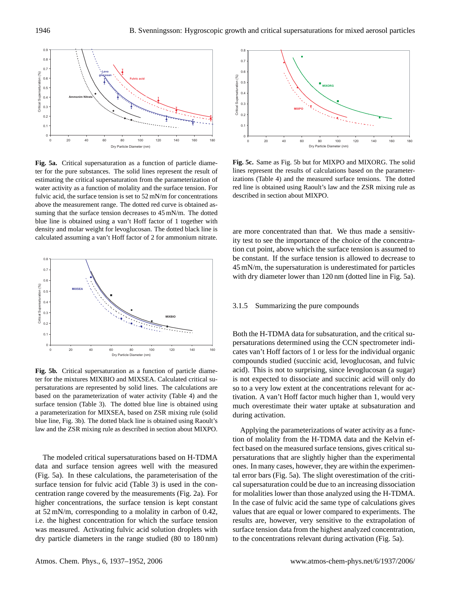

**Fig. 5a.** Critical supersaturation as a function of particle diameter for the pure substances. The solid lines represent the result of estimating the critical supersaturation from the parameterization of water activity as a function of molality and the surface tension. For fulvic acid, the surface tension is set to 52 mN/m for concentrations above the measurement range. The dotted red curve is obtained assuming that the surface tension decreases to 45 mN/m. The dotted blue line is obtained using a van't Hoff factor of 1 together with density and molar weight for levoglucosan. The dotted black line is calculated assuming a van't Hoff factor of 2 for ammonium nitrate.



**Fig. 5b.** Critical supersaturation as a function of particle diameter for the mixtures MIXBIO and MIXSEA. Calculated critical supersaturations are represented by solid lines. The calculations are based on the parameterization of water activity (Table 4) and the surface tension (Table 3). The dotted blue line is obtained using a parameterization for MIXSEA, based on ZSR mixing rule (solid blue line, Fig. 3b). The dotted black line is obtained using Raoult's law and the ZSR mixing rule as described in section about MIXPO.

The modeled critical supersaturations based on H-TDMA data and surface tension agrees well with the measured (Fig. 5a). In these calculations, the parameterisation of the surface tension for fulvic acid (Table 3) is used in the concentration range covered by the measurements (Fig. 2a). For higher concentrations, the surface tension is kept constant at 52 mN/m, corresponding to a molality in carbon of 0.42, i.e. the highest concentration for which the surface tension was measured. Activating fulvic acid solution droplets with dry particle diameters in the range studied (80 to 180 nm)



**Fig. 5c.** Same as Fig. 5b but for MIXPO and MIXORG. The solid lines represent the results of calculations based on the parameterizations (Table 4) and the measured surface tensions. The dotted red line is obtained using Raoult's law and the ZSR mixing rule as described in section about MIXPO.

are more concentrated than that. We thus made a sensitivity test to see the importance of the choice of the concentration cut point, above which the surface tension is assumed to be constant. If the surface tension is allowed to decrease to 45 mN/m, the supersaturation is underestimated for particles with dry diameter lower than 120 nm (dotted line in Fig. 5a).

#### 3.1.5 Summarizing the pure compounds

Both the H-TDMA data for subsaturation, and the critical supersaturations determined using the CCN spectrometer indicates van't Hoff factors of 1 or less for the individual organic compounds studied (succinic acid, levoglucosan, and fulvic acid). This is not to surprising, since levoglucosan (a sugar) is not expected to dissociate and succinic acid will only do so to a very low extent at the concentrations relevant for activation. A van't Hoff factor much higher than 1, would very much overestimate their water uptake at subsaturation and during activation.

Applying the parameterizations of water activity as a function of molality from the H-TDMA data and the Kelvin effect based on the measured surface tensions, gives critical supersaturations that are slightly higher than the experimental ones. In many cases, however, they are within the experimental error bars (Fig. 5a). The slight overestimation of the critical supersaturation could be due to an increasing dissociation for molalities lower than those analyzed using the H-TDMA. In the case of fulvic acid the same type of calculations gives values that are equal or lower compared to experiments. The results are, however, very sensitive to the extrapolation of surface tension data from the highest analyzed concentration, to the concentrations relevant during activation (Fig. 5a).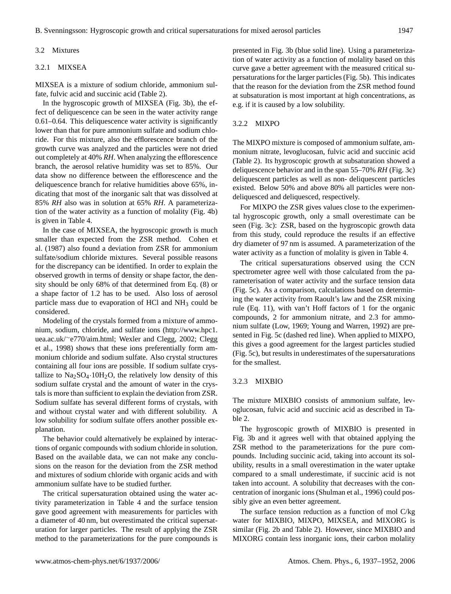B. Svenningsson: Hygroscopic growth and critical supersaturations for mixed aerosol particles 1947

#### 3.2 Mixtures

## 3.2.1 MIXSEA

MIXSEA is a mixture of sodium chloride, ammonium sulfate, fulvic acid and succinic acid (Table 2).

In the hygroscopic growth of MIXSEA (Fig. 3b), the effect of deliquescence can be seen in the water activity range 0.61–0.64. This deliquescence water activity is significantly lower than that for pure ammonium sulfate and sodium chloride. For this mixture, also the efflorescence branch of the growth curve was analyzed and the particles were not dried out completely at 40% *RH*. When analyzing the efflorescence branch, the aerosol relative humidity was set to 85%. Our data show no difference between the efflorescence and the deliquescence branch for relative humidities above 65%, indicating that most of the inorganic salt that was dissolved at 85% *RH* also was in solution at 65% *RH*. A parameterization of the water activity as a function of molality (Fig. 4b) is given in Table 4.

In the case of MIXSEA, the hygroscopic growth is much smaller than expected from the ZSR method. Cohen et al. (1987) also found a deviation from ZSR for ammonium sulfate/sodium chloride mixtures. Several possible reasons for the discrepancy can be identified. In order to explain the observed growth in terms of density or shape factor, the density should be only 68% of that determined from Eq. (8) or a shape factor of 1.2 has to be used. Also loss of aerosol particle mass due to evaporation of HCl and NH<sub>3</sub> could be considered.

Modeling of the crystals formed from a mixture of ammonium, sodium, chloride, and sulfate ions [\(http://www.hpc1.](http://www.hpc1.uea.ac.uk/~e770/aim.html) uea.ac.uk/∼[e770/aim.html;](http://www.hpc1.uea.ac.uk/~e770/aim.html) Wexler and Clegg, 2002; Clegg et al., 1998) shows that these ions preferentially form ammonium chloride and sodium sulfate. Also crystal structures containing all four ions are possible. If sodium sulfate crystallize to  $Na<sub>2</sub>SO<sub>4</sub>·10H<sub>2</sub>O$ , the relatively low density of this sodium sulfate crystal and the amount of water in the crystals is more than sufficient to explain the deviation from ZSR. Sodium sulfate has several different forms of crystals, with and without crystal water and with different solubility. A low solubility for sodium sulfate offers another possible explanation.

The behavior could alternatively be explained by interactions of organic compounds with sodium chloride in solution. Based on the available data, we can not make any conclusions on the reason for the deviation from the ZSR method and mixtures of sodium chloride with organic acids and with ammonium sulfate have to be studied further.

The critical supersaturation obtained using the water activity parameterization in Table 4 and the surface tension gave good agreement with measurements for particles with a diameter of 40 nm, but overestimated the critical supersaturation for larger particles. The result of applying the ZSR method to the parameterizations for the pure compounds is presented in Fig. 3b (blue solid line). Using a parameterization of water activity as a function of molality based on this curve gave a better agreement with the measured critical supersaturations for the larger particles (Fig. 5b). This indicates that the reason for the deviation from the ZSR method found at subsaturation is most important at high concentrations, as e.g. if it is caused by a low solubility.

#### 3.2.2 MIXPO

The MIXPO mixture is composed of ammonium sulfate, ammonium nitrate, levoglucosan, fulvic acid and succinic acid (Table 2). Its hygroscopic growth at subsaturation showed a deliquescence behavior and in the span 55–70% *RH* (Fig. 3c) deliquescent particles as well as non- deliquescent particles existed. Below 50% and above 80% all particles were nondeliquesced and deliquesced, respectively.

For MIXPO the ZSR gives values close to the experimental hygroscopic growth, only a small overestimate can be seen (Fig. 3c): ZSR, based on the hygroscopic growth data from this study, could reproduce the results if an effective dry diameter of 97 nm is assumed. A parameterization of the water activity as a function of molality is given in Table 4.

The critical supersaturations observed using the CCN spectrometer agree well with those calculated from the parameterisation of water activity and the surface tension data (Fig. 5c). As a comparison, calculations based on determining the water activity from Raoult's law and the ZSR mixing rule (Eq. 11), with van't Hoff factors of 1 for the organic compounds, 2 for ammonium nitrate, and 2.3 for ammonium sulfate (Low, 1969; Young and Warren, 1992) are presented in Fig. 5c (dashed red line). When applied to MIXPO, this gives a good agreement for the largest particles studied (Fig. 5c), but results in underestimates of the supersaturations for the smallest.

#### 3.2.3 MIXBIO

The mixture MIXBIO consists of ammonium sulfate, levoglucosan, fulvic acid and succinic acid as described in Table 2.

The hygroscopic growth of MIXBIO is presented in Fig. 3b and it agrees well with that obtained applying the ZSR method to the parameterizations for the pure compounds. Including succinic acid, taking into account its solubility, results in a small overestimation in the water uptake compared to a small underestimate, if succinic acid is not taken into account. A solubility that decreases with the concentration of inorganic ions (Shulman et al., 1996) could possibly give an even better agreement.

The surface tension reduction as a function of mol C/kg water for MIXBIO, MIXPO, MIXSEA, and MIXORG is similar (Fig. 2b and Table 2). However, since MIXBIO and MIXORG contain less inorganic ions, their carbon molality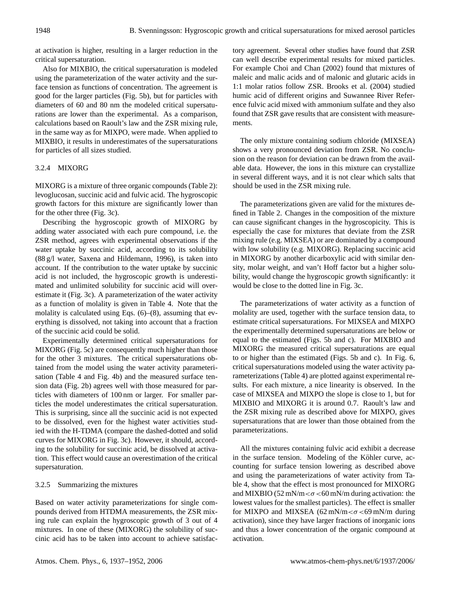at activation is higher, resulting in a larger reduction in the critical supersaturation.

Also for MIXBIO, the critical supersaturation is modeled using the parameterization of the water activity and the surface tension as functions of concentration. The agreement is good for the larger particles (Fig. 5b), but for particles with diameters of 60 and 80 nm the modeled critical supersaturations are lower than the experimental. As a comparison, calculations based on Raoult's law and the ZSR mixing rule, in the same way as for MIXPO, were made. When applied to MIXBIO, it results in underestimates of the supersaturations for particles of all sizes studied.

# 3.2.4 MIXORG

MIXORG is a mixture of three organic compounds (Table 2): levoglucosan, succinic acid and fulvic acid. The hygroscopic growth factors for this mixture are significantly lower than for the other three (Fig. 3c).

Describing the hygroscopic growth of MIXORG by adding water associated with each pure compound, i.e. the ZSR method, agrees with experimental observations if the water uptake by succinic acid, according to its solubility (88 g/l water, Saxena and Hildemann, 1996), is taken into account. If the contribution to the water uptake by succinic acid is not included, the hygroscopic growth is underestimated and unlimited solubility for succinic acid will overestimate it (Fig. 3c). A parameterization of the water activity as a function of molality is given in Table 4. Note that the molality is calculated using Eqs.  $(6)$ – $(8)$ , assuming that everything is dissolved, not taking into account that a fraction of the succinic acid could be solid.

Experimentally determined critical supersaturations for MIXORG (Fig. 5c) are consequently much higher than those for the other 3 mixtures. The critical supersaturations obtained from the model using the water activity parameterisation (Table 4 and Fig. 4b) and the measured surface tension data (Fig. 2b) agrees well with those measured for particles with diameters of 100 nm or larger. For smaller particles the model underestimates the critical supersaturation. This is surprising, since all the succinic acid is not expected to be dissolved, even for the highest water activities studied with the H-TDMA (compare the dashed-dotted and solid curves for MIXORG in Fig. 3c). However, it should, according to the solubility for succinic acid, be dissolved at activation. This effect would cause an overestimation of the critical supersaturation.

## 3.2.5 Summarizing the mixtures

Based on water activity parameterizations for single compounds derived from HTDMA measurements, the ZSR mixing rule can explain the hygroscopic growth of 3 out of 4 mixtures. In one of these (MIXORG) the solubility of succinic acid has to be taken into account to achieve satisfactory agreement. Several other studies have found that ZSR can well describe experimental results for mixed particles. For example Choi and Chan (2002) found that mixtures of maleic and malic acids and of malonic and glutaric acids in 1:1 molar ratios follow ZSR. Brooks et al. (2004) studied humic acid of different origins and Suwannee River Reference fulvic acid mixed with ammonium sulfate and they also found that ZSR gave results that are consistent with measurements.

The only mixture containing sodium chloride (MIXSEA) shows a very pronounced deviation from ZSR. No conclusion on the reason for deviation can be drawn from the available data. However, the ions in this mixture can crystallize in several different ways, and it is not clear which salts that should be used in the ZSR mixing rule.

The parameterizations given are valid for the mixtures defined in Table 2. Changes in the composition of the mixture can cause significant changes in the hygroscopicity. This is especially the case for mixtures that deviate from the ZSR mixing rule (e.g. MIXSEA) or are dominated by a compound with low solubility (e.g. MIXORG). Replacing succinic acid in MIXORG by another dicarboxylic acid with similar density, molar weight, and van't Hoff factor but a higher solubility, would change the hygroscopic growth significantly: it would be close to the dotted line in Fig. 3c.

The parameterizations of water activity as a function of molality are used, together with the surface tension data, to estimate critical supersaturations. For MIXSEA and MIXPO the experimentally determined supersaturations are below or equal to the estimated (Figs. 5b and c). For MIXBIO and MIXORG the measured critical supersaturations are equal to or higher than the estimated (Figs. 5b and c). In Fig. 6, critical supersaturations modeled using the water activity parameterizations (Table 4) are plotted against experimental results. For each mixture, a nice linearity is observed. In the case of MIXSEA and MIXPO the slope is close to 1, but for MIXBIO and MIXORG it is around 0.7. Raoult's law and the ZSR mixing rule as described above for MIXPO, gives supersaturations that are lower than those obtained from the parameterizations.

All the mixtures containing fulvic acid exhibit a decrease in the surface tension. Modeling of the Köhler curve, accounting for surface tension lowering as described above and using the parameterizations of water activity from Table 4, show that the effect is most pronounced for MIXORG and MIXBIO (52 mN/m  $<\sigma$  <60 mN/m during activation: the lowest values for the smallest particles). The effect is smaller for MIXPO and MIXSEA (62 mN/m  $<\sigma$  <69 mN/m during activation), since they have larger fractions of inorganic ions and thus a lower concentration of the organic compound at activation.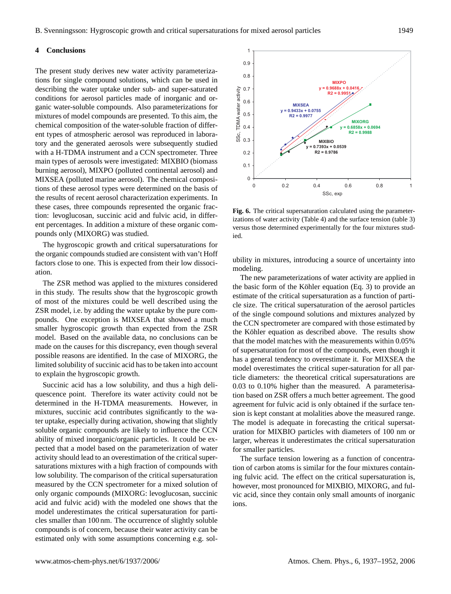## **4 Conclusions**

The present study derives new water activity parameterizations for single compound solutions, which can be used in describing the water uptake under sub- and super-saturated conditions for aerosol particles made of inorganic and organic water-soluble compounds. Also parameterizations for mixtures of model compounds are presented. To this aim, the chemical composition of the water-soluble fraction of different types of atmospheric aerosol was reproduced in laboratory and the generated aerosols were subsequently studied with a H-TDMA instrument and a CCN spectrometer. Three main types of aerosols were investigated: MIXBIO (biomass burning aerosol), MIXPO (polluted continental aerosol) and MIXSEA (polluted marine aerosol). The chemical compositions of these aerosol types were determined on the basis of the results of recent aerosol characterization experiments. In these cases, three compounds represented the organic fraction: levoglucosan, succinic acid and fulvic acid, in different percentages. In addition a mixture of these organic compounds only (MIXORG) was studied.

The hygroscopic growth and critical supersaturations for the organic compounds studied are consistent with van't Hoff factors close to one. This is expected from their low dissociation.

The ZSR method was applied to the mixtures considered in this study. The results show that the hygroscopic growth of most of the mixtures could be well described using the ZSR model, i.e. by adding the water uptake by the pure compounds. One exception is MIXSEA that showed a much smaller hygroscopic growth than expected from the ZSR model. Based on the available data, no conclusions can be made on the causes for this discrepancy, even though several possible reasons are identified. In the case of MIXORG, the limited solubility of succinic acid has to be taken into account to explain the hygroscopic growth.

Succinic acid has a low solubility, and thus a high deliquescence point. Therefore its water activity could not be determined in the H-TDMA measurements. However, in mixtures, succinic acid contributes significantly to the water uptake, especially during activation, showing that slightly soluble organic compounds are likely to influence the CCN ability of mixed inorganic/organic particles. It could be expected that a model based on the parameterization of water activity should lead to an overestimation of the critical supersaturations mixtures with a high fraction of compounds with low solubility. The comparison of the critical supersaturation measured by the CCN spectrometer for a mixed solution of only organic compounds (MIXORG: levoglucosan, succinic acid and fulvic acid) with the modeled one shows that the model underestimates the critical supersaturation for particles smaller than 100 nm. The occurrence of slightly soluble compounds is of concern, because their water activity can be estimated only with some assumptions concerning e.g. sol-



**Fig. 6.** The critical supersaturation calculated using the parameterizations of water activity (Table 4) and the surface tension (table 3) versus those determined experimentally for the four mixtures studied.

ubility in mixtures, introducing a source of uncertainty into modeling.

The new parameterizations of water activity are applied in the basic form of the Köhler equation (Eq. 3) to provide an estimate of the critical supersaturation as a function of particle size. The critical supersaturation of the aerosol particles of the single compound solutions and mixtures analyzed by the CCN spectrometer are compared with those estimated by the Köhler equation as described above. The results show that the model matches with the measurements within 0.05% of supersaturation for most of the compounds, even though it has a general tendency to overestimate it. For MIXSEA the model overestimates the critical super-saturation for all particle diameters: the theoretical critical supersaturations are 0.03 to 0.10% higher than the measured. A parameterisation based on ZSR offers a much better agreement. The good agreement for fulvic acid is only obtained if the surface tension is kept constant at molalities above the measured range. The model is adequate in forecasting the critical supersaturation for MIXBIO particles with diameters of 100 nm or larger, whereas it underestimates the critical supersaturation for smaller particles.

The surface tension lowering as a function of concentration of carbon atoms is similar for the four mixtures containing fulvic acid. The effect on the critical supersaturation is, however, most pronounced for MIXBIO, MIXORG, and fulvic acid, since they contain only small amounts of inorganic ions.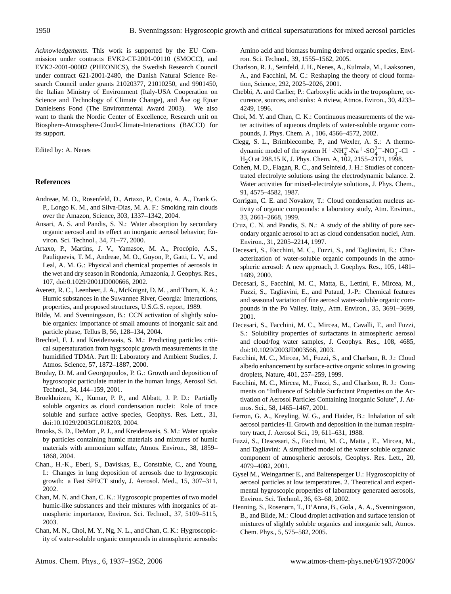*Acknowledgements.* This work is supported by the EU Commission under contracts EVK2-CT-2001-00110 (SMOCC), and EVK2-2001-00002 (PHEONICS), the Swedish Research Council under contract 621-2001-2480, the Danish Natural Science Research Council under grants 21020377, 21010250, and 9901450, the Italian Ministry of Environment (Italy-USA Cooperation on Science and Technology of Climate Change), and Åse og Ejnar Danielsens Fond (The Environmental Award 2003). We also want to thank the Nordic Center of Excellence, Research unit on Biosphere-Atmosphere-Cloud-Climate-Interactions (BACCI) for its support.

Edited by: A. Nenes

# **References**

- Andreae, M. O., Rosenfeld, D., Artaxo, P., Costa, A. A., Frank G. P., Longo K. M., and Silva-Dias, M. A. F.: Smoking rain clouds over the Amazon, Science, 303, 1337–1342, 2004.
- Ansari, A. S. and Pandis, S. N.: Water absorption by secondary organic aerosol and its effect an inorganic aerosol behavior, Environ. Sci. Technol., 34, 71–77, 2000.
- Artaxo, P., Martins, J. V., Yamasoe, M. A., Procópio, A.S., Pauliquevis, T. M., Andreae, M. O., Guyon, P., Gatti, L. V., and Leal, A. M. G.: Physical and chemical properties of aerosols in the wet and dry season in Rondonia, Amazonia, J. Geophys. Res., 107, doi:0.1029/2001JD000666, 2002.
- Averett, R. C., Leenheer, J. A., McKnignt, D. M. , and Thorn, K. A.: Humic substances in the Suwannee River, Georgia: Interactions, properties, and proposed structures, U.S.G.S. report, 1989.
- Bilde, M. and Svenningsson, B.: CCN activation of slightly soluble organics: importance of small amounts of inorganic salt and particle phase, Tellus B, 56, 128–134, 2004.
- Brechtel, F. J. and Kreidenweis, S. M.: Predicting particles critical supersaturation from hygrscopic growth measurements in the humidified TDMA. Part II: Laboratory and Ambient Studies, J. Atmos. Science, 57, 1872–1887, 2000.
- Broday, D. M. and Georgopoulos, P. G.: Growth and deposition of hygroscopic particulate matter in the human lungs, Aerosol Sci. Technol., 34, 144–159, 2001.
- Broekhuizen, K., Kumar, P. P., and Abbatt, J. P. D.: Partially soluble organics as cloud condensation nuclei: Role of trace soluble and surface active species, Geophys. Res. Lett., 31, doi:10.1029/2003GL018203, 2004.
- Brooks, S. D., DeMott , P. J., and Kreidenweis, S. M.: Water uptake by particles containing humic materials and mixtures of humic materials with ammonium sulfate, Atmos. Environ., 38, 1859– 1868, 2004.
- Chan., H.-K., Eberl, S., Daviskas, E., Constable, C., and Young, I.: Changes in lung deposition of aerosols due to hygroscopic growth: a Fast SPECT study, J. Aerosol. Med., 15, 307–311, 2002.
- Chan, M. N. and Chan, C. K.: Hygroscopic properties of two model humic-like substances and their mixtures with inorganics of atmospheric importance, Environ. Sci. Technol., 37, 5109–5115, 2003.
- Chan, M. N., Choi, M. Y., Ng, N. L., and Chan, C. K.: Hygroscopicity of water-soluble organic compounds in atmospheric aerosols:

Amino acid and biomass burning derived organic species, Environ. Sci. Technol., 39, 1555–1562, 2005.

- Charlson, R. J., Seinfeld, J. H., Nenes, A., Kulmala, M., Laaksonen, A., and Facchini, M. C.: Reshaping the theory of cloud formation, Science, 292, 2025–2026, 2001.
- Chebbi, A. and Carlier, P.: Carboxylic acids in the troposphere, occurence, sources, and sinks: A riview, Atmos. Eviron., 30, 4233– 4249, 1996.
- Choi, M. Y. and Chan, C. K.: Continuous measurements of the water activities of aqueous droplets of water-soluble organic compounds, J. Phys. Chem. A , 106, 4566–4572, 2002.
- Clegg, S. L., Brimblecombe, P., and Wexler, A. S.: A thermodynamic model of the system  $H^+$ -NH<sup>+</sup><sub>4</sub>-Na<sup>+</sup>-SO<sub>4</sub><sup>2</sup>--NO<sub>3</sub>-Cl<sup>-</sup>-H2O at 298.15 K, J. Phys. Chem. A, 102, 2155–2171, 1998.
- Cohen, M. D., Flagan, R. C., and Seinfeld, J. H.: Studies of concentrated electrolyte solutions using the electrodynamic balance. 2. Water activities for mixed-electrolyte solutions, J. Phys. Chem., 91, 4575–4582, 1987.
- Corrigan, C. E. and Novakov, T.: Cloud condensation nucleus activity of organic compounds: a laboratory study, Atm. Environ., 33, 2661–2668, 1999.
- Cruz, C. N. and Pandis, S. N.: A study of the ability of pure secondary organic aerosol to act as cloud condensation nuclei, Atm. Environ., 31, 2205–2214, 1997.
- Decesari, S., Facchini, M. C., Fuzzi, S., and Tagliavini, E.: Characterization of water-soluble organic compounds in the atmospheric aerosol: A new approach, J. Goephys. Res., 105, 1481– 1489, 2000.
- Decesari, S., Facchini, M. C., Matta, E., Lettini, F., Mircea, M., Fuzzi, S., Tagliavini, E., and Putaud, J.-P.: Chemical features and seasonal variation of fine aerosol water-soluble organic compounds in the Po Valley, Italy., Atm. Environ., 35, 3691–3699, 2001.
- Decesari, S., Facchini, M. C., Mircea, M., Cavalli, F., and Fuzzi, S.: Solubility properties of surfactants in atmospheric aerosol and cloud/fog water samples, J. Geophys. Res., 108, 4685, doi:10.1029/2003JD003566, 2003.
- Facchini, M. C., Mircea, M., Fuzzi, S., and Charlson, R. J.: Cloud albedo enhancement by surface-active organic solutes in growing droplets, Nature, 401, 257–259, 1999.
- Facchini, M. C., Mircea, M., Fuzzi, S., and Charlson, R. J.: Comments on "Influence of Soluble Surfactant Properties on the Activation of Aerosol Particles Containing Inorganic Solute", J. Atmos. Sci., 58, 1465–1467, 2001.
- Ferron, G. A., Kreyling, W. G., and Haider, B.: Inhalation of salt aerosol particles-II. Growth and deposition in the human respiratory tract, J. Aerosol Sci., 19, 611–631, 1988.
- Fuzzi, S., Descesari, S., Facchini, M. C., Matta , E., Mircea, M., and Tagliavini: A simplified model of the water soluble organaic component of atmospheric aerosols, Geophys. Res. Lett., 20, 4079–4082, 2001.
- Gysel M., Weingartner E., and Baltensperger U.: Hygroscopicity of aerosol particles at low temperatures. 2. Theoretical and experimental hygroscopic properties of laboratory generated aerosols, Environ. Sci. Technol., 36, 63–68, 2002.
- Henning, S., Rosenørn, T., D'Anna, B., Gola , A. A., Svenningsson, B., and Bilde, M.: Cloud droplet activation and surface tension of mixtures of slightly soluble organics and inorganic salt, Atmos. Chem. Phys., 5, 575–582, 2005.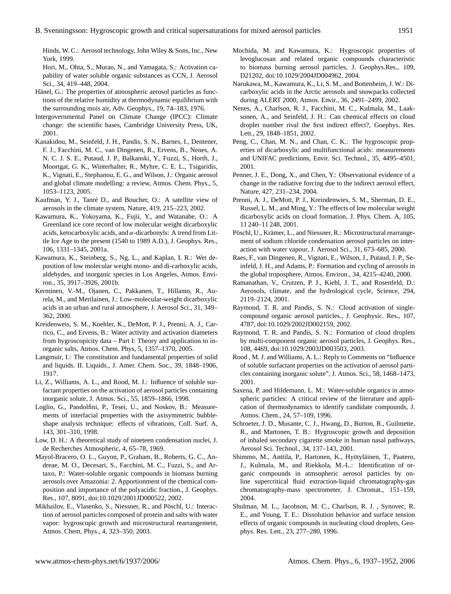Hinds, W. C.: Aerosol technology, John Wiley & Sons, Inc., New York, 1999.

Hori, M., Ohta, S., Murao, N., and Yamagata, S.: Activation capability of water soluble organic substances as CCN, J. Aerosol Sci., 34, 419–448, 2004.

- Hänel, G.: The properties of atmospheric aerosol particles as functions of the relative humidity at thermodynamic equilibrium with the surrounding mois air, Adv. Geophys., 19, 74–183, 1976.
- Intergovernmental Panel on Climate Change (IPCC): Climate change: the scientific bases, Cambridge University Press, UK, 2001.
- Kanakidou, M., Seinfeld, J. H., Pandis, S. N., Barnes, I., Dentener, F. J., Facchini, M. C., van Dingenen, R., Ervens, B., Nenes, A. N. C. J. S. E., Putaud, J. P., Balkanski, Y., Fuzzi, S., Horth, J., Moortgat, G. K., Winterhalter, R., Myhre, C. E. L., Tsigaridis, K., Vignati, E., Stephanou, E. G., and Wilson, J.: Organic aerosol and global climate modelling: a review, Atmos. Chem. Phys., 5, 1053–1123, 2005.
- Kaufman, Y. J., Tanré D., and Boucher, O.: A satellite view of aerosols in the climate system, Nature, 419, 215–223, 2002.
- Kawamura, K., Yokoyama, K., Fujii, Y., and Watanabe, O.: A Greenland ice core record of low molecular weight dicarboxylic acids, ketocarboxylic acids, and  $\alpha$ -dicarbonyls: A trend from Little Ice Age to the present (1540 to 1989 A.D.), J. Geophys. Res., 106, 1331–1345, 2001a.
- Kawamura, K., Steinberg, S., Ng, L., and Kaplan, I. R.: Wet deposition of low molecular weight mono- and di-carboxylic acids, aldehydes, and inorganic species in Los Angeles, Atmos. Environ., 35, 3917–3926, 2001b.
- Kerminen, V.-M., Ojanen, C., Pakkanen, T., Hillamo, R., Aurela, M., and Merilainen, J.: Low-molecular-weight dicarboxylic acids in an urban and rural atmosphere, J. Aerosol Sci., 31, 349– 362, 2000.
- Kreidenweis, S. M., Koehler, K., DeMott, P. J., Prenni, A. J., Carrico, C., and Ervens, B.: Water activity and activation diameters from hygroscopicity data – Part I: Theory and application to inorganic salts, Atmos. Chem. Phys, 5, 1357–1370, 2005.
- Langmuir, I.: The constitution and fundamental properties of solid and liquids. II. Liquids., J. Amer. Chem. Soc., 39, 1848–1906, 1917.
- Li, Z., Williams, A. L., and Rood, M. J.: Influence of soluble surfactant properties on the activation of aerosol particles containing inorganic solute, J. Atmos. Sci., 55, 1859–1866, 1998.
- Loglio, G., Pandolfini, P., Tesei, U., and Noskov, B.: Measurements of interfacial properties with the axisymmetric bubbleshape analysis technique: effects of vibrations, Coll. Surf. A, 143, 301–310, 1998.
- Low, D. H.: A theoretical study of nineteen condensation nuclei, J. de Recherches Atmospheric, 4, 65–78, 1969.
- Mayol-Bracero, O. L., Guyon, P., Graham, B., Roberts, G. C., Andreae, M. O., Decesari, S., Facchini, M. C., Fuzzi, S., and Artaxo, P.: Water-soluble organic compounds in biomass burning aerosols over Amazonia: 2. Apportionment of the chemical composition and importance of the polyacidic fraction., J. Geophys. Res., 107, 8091, doi:10.1029/2001JD000522, 2002.
- Mikhailov, E., Vlasenko, S., Niessner, R., and Pöschl, U.: Interaction of aerosol particles composed of protein and salts with water vapor: hygroscopic growth and microstructural rearrangement, Atmos. Chem. Phys., 4, 323–350, 2003.
- Mochida, M. and Kawamura, K.: Hygroscopic properties of levoglucosan and related organic compounds characteristic to biomass burning aerosol particles, J. Geophys.Res., 109, D21202, doi:10.1029/2004JD004962, 2004.
- Narukawa, M., Kawamura, K., Li, S. M., and Bottenheim, J. W.: Dicarboxylic acids in the Arctic aerosols and snowpacks collected during ALERT 2000, Atmos. Envir., 36, 2491–2499, 2002.
- Nenes, A., Charlson, R. J., Facchini, M. C., Kulmala, M., Laaksonen, A., and Seinfeld, J. H.: Can chemical effects on cloud droplet number rival the first indirect effect?, Goephys. Res. Lett., 29, 1848–1851, 2002.
- Peng, C., Chan, M. N., and Chan, C. K.: The hygroscopic properties of dicarboxylic and multifunctional acids: measurements and UNIFAC predictions, Envir. Sci. Technol., 35, 4495–4501, 2001.
- Penner, J. E., Dong, X., and Chen, Y.: Observational evidence of a change in the radiative forcing due to the indirect aerosol effect, Nature, 427, 231–234, 2004.
- Prenni, A. J., DeMott, P. J., Kreindenwies, S. M., Sherman, D. E., Russel, L. M., and Ming, Y.: The effects of low molecular weight dicarboxylic acids on cloud formation, J. Phys. Chem. A, 105, 11 240–11 248, 2001.
- Pöschl, U., Krämer, L., and Niessner, R.: Microstructural rearrangement of sodium chloride condensation aerosol particles on interaction with water vapour, J. Aerosol Sci., 31, 673–685, 2000.
- Raes, F., van Dingenen, R., Vignati, E., Wilson, J., Putaud, J. P., Seinfeld, J. H., and Adams, P.: Formation and cycling of aerosols in the global troposphere, Atmos. Environ., 34, 4215–4240, 2000.
- Ramanathan, V., Crutzen, P. J., Kiehl, J. T., and Rosenfeld, D.: Aerosols, climate, and the hydrological cycle, Science, 294, 2119–2124, 2001.
- Raymond, T. R. and Pandis, S. N.: Cloud activation of singlecompound organic aerosol particles., J. Geophysic. Res., 107, 4787, doi:10.1029/2002JD002159, 2002.
- Raymond, T. R. and Pandis, S. N.: Formation of cloud droplets by multi-component organic aerosol particles, J. Geophys. Res., 108, 4469, doi:10.1029/2003JD003503, 2003.
- Rood , M. J. and Williams, A. L.: Reply to Comments on "Influence of soluble surfactant properties on the activation of aerosol particles containing inorganic solute", J. Atmos. Sci., 58, 1468–1473, 2001.
- Saxena, P. and Hildemann, L. M.: Water-soluble organics in atmospheric particles: A critical review of the literature and application of thermodynamics to identify candidate compounds, J. Atmos. Chem., 24, 57–109, 1996.
- Schroeter, J. D., Musante, C. J., Hwang, D., Burton, R., Guilmette, R., and Martonen, T. B.: Hygroscopic growth and deposition of inhaled secondary cigarette smoke in human nasal pathways, Aerosol Sci. Technol., 34, 137–143, 2001.
- Shimmo, M., Anttila, P., Hartonen, K., Hyötyläinen, T., Paatero, J., Kulmala, M., and Riekkola, M.-L.: Identification of organic compounds in atmsopheric aerosol particles by online supercritical fluid extraction-liquid chromatography-gas chromatography-mass spectrometer, J. Chromat., 151–159, 2004.
- Shulman, M. L., Jacobson, M. C., Charlson, R. J. , Synovec, R. E., and Young, T. E.: Dissolution behavior and surface tension effects of organic compounds in nucleating cloud droplets, Geophys. Res. Lett., 23, 277–280, 1996.